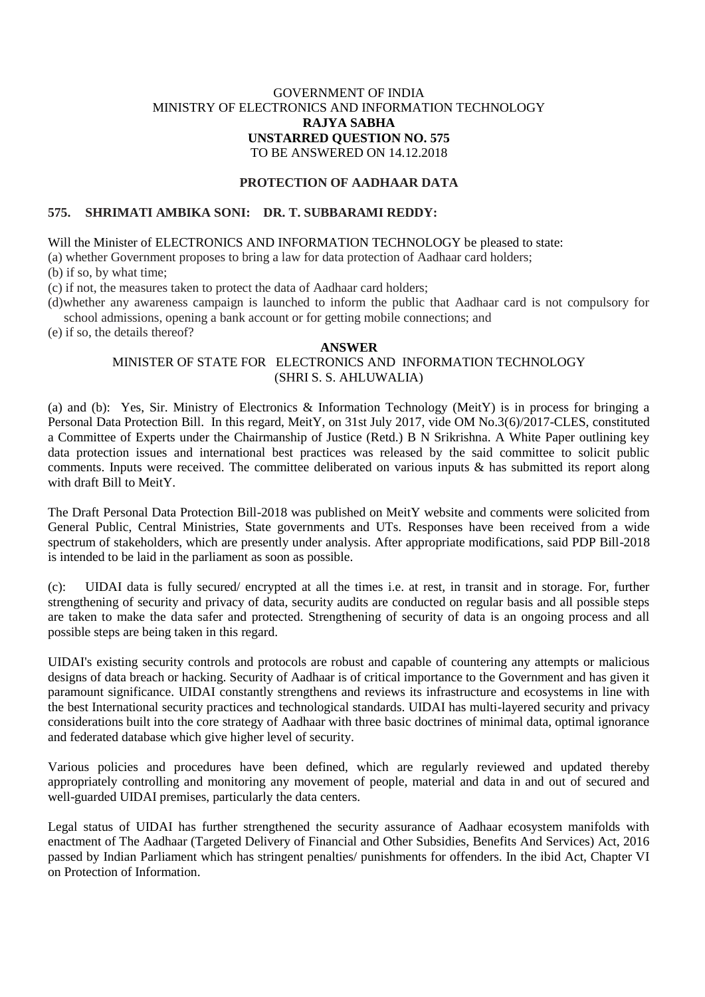## GOVERNMENT OF INDIA MINISTRY OF ELECTRONICS AND INFORMATION TECHNOLOGY **RAJYA SABHA UNSTARRED QUESTION NO. 575** TO BE ANSWERED ON 14.12.2018

### **PROTECTION OF AADHAAR DATA**

### **575. SHRIMATI AMBIKA SONI: DR. T. SUBBARAMI REDDY:**

Will the Minister of ELECTRONICS AND INFORMATION TECHNOLOGY be pleased to state:

(a) whether Government proposes to bring a law for data protection of Aadhaar card holders;

(b) if so, by what time;

(c) if not, the measures taken to protect the data of Aadhaar card holders;

(d)whether any awareness campaign is launched to inform the public that Aadhaar card is not compulsory for school admissions, opening a bank account or for getting mobile connections; and

(e) if so, the details thereof?

#### **ANSWER**

# MINISTER OF STATE FOR ELECTRONICS AND INFORMATION TECHNOLOGY (SHRI S. S. AHLUWALIA)

(a) and (b):Yes, Sir. Ministry of Electronics & Information Technology (MeitY) is in process for bringing a Personal Data Protection Bill. In this regard, MeitY, on 31st July 2017, vide OM No.3(6)/2017-CLES, constituted a Committee of Experts under the Chairmanship of Justice (Retd.) B N Srikrishna. A White Paper outlining key data protection issues and international best practices was released by the said committee to solicit public comments. Inputs were received. The committee deliberated on various inputs & has submitted its report along with draft Bill to MeitY.

The Draft Personal Data Protection Bill-2018 was published on MeitY website and comments were solicited from General Public, Central Ministries, State governments and UTs. Responses have been received from a wide spectrum of stakeholders, which are presently under analysis. After appropriate modifications, said PDP Bill-2018 is intended to be laid in the parliament as soon as possible.

(c): UIDAI data is fully secured/ encrypted at all the times i.e. at rest, in transit and in storage. For, further strengthening of security and privacy of data, security audits are conducted on regular basis and all possible steps are taken to make the data safer and protected. Strengthening of security of data is an ongoing process and all possible steps are being taken in this regard.

UIDAI's existing security controls and protocols are robust and capable of countering any attempts or malicious designs of data breach or hacking. Security of Aadhaar is of critical importance to the Government and has given it paramount significance. UIDAI constantly strengthens and reviews its infrastructure and ecosystems in line with the best International security practices and technological standards. UIDAI has multi-layered security and privacy considerations built into the core strategy of Aadhaar with three basic doctrines of minimal data, optimal ignorance and federated database which give higher level of security.

Various policies and procedures have been defined, which are regularly reviewed and updated thereby appropriately controlling and monitoring any movement of people, material and data in and out of secured and well-guarded UIDAI premises, particularly the data centers.

Legal status of UIDAI has further strengthened the security assurance of Aadhaar ecosystem manifolds with enactment of The Aadhaar (Targeted Delivery of Financial and Other Subsidies, Benefits And Services) Act, 2016 passed by Indian Parliament which has stringent penalties/ punishments for offenders. In the ibid Act, Chapter VI on Protection of Information.